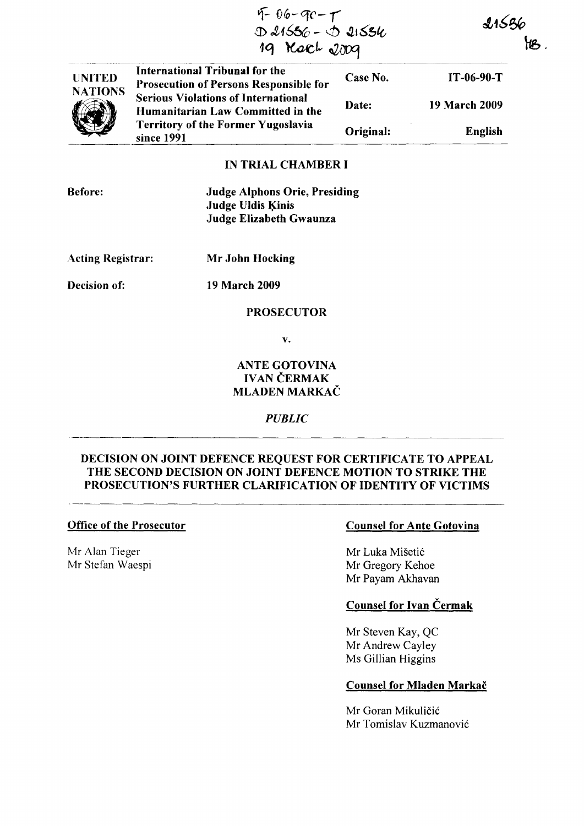|                                 | $9 - 96 - 90 - 7$<br>D 21556 - D 21554<br>19 Kack 2009                                 |           | 21536<br>YB.         |  |
|---------------------------------|----------------------------------------------------------------------------------------|-----------|----------------------|--|
| <b>UNITED</b><br><b>NATIONS</b> | <b>International Tribunal for the</b><br><b>Prosecution of Persons Responsible for</b> | Case No.  | $IT-06-90-T$         |  |
|                                 | <b>Serious Violations of International</b><br>Humanitarian Law Committed in the        | Date:     | <b>19 March 2009</b> |  |
|                                 | <b>Territory of the Former Yugoslavia</b><br>since 1991                                | Original: | <b>English</b>       |  |
|                                 | IN TRIAL CHAMRER I                                                                     |           |                      |  |

### IN TRIAL CHAMBER I

Before:

Judge Alphons Orie, Presiding Judge Uldis Kinis Judge Elizabeth Gwaunza

Acting Registrar: Mr John Hocking

Decision of: 19 March 2009

### PROSECUTOR

v.

# ANTE GOTOVINA IVAN CERMAK MLADEN MARKAČ

*PUBLIC* 

## DECISION ON JOINT DEFENCE REQUEST FOR CERTIFICATE TO APPEAL THE SECOND DECISION ON JOINT DEFENCE MOTION TO STRIKE THE PROSECUTION'S FURTHER CLARIFICATION OF IDENTITY OF VICTIMS

#### Office of the Prosecutor

Mr Alan Tieger Mr Stefan Waespi

## Counsel for Ante Gotovina

Mr Luka Misetic Mr Gregory Kehoe Mr Payam Akhavan

# Counsel for Ivan Cermak

Mr Steven Kay, QC Mr Andrew Cayley Ms Gillian Higgins

### Counsel for Mladen Markac

Mr Goran Mikuličić Mr Tomislav Kuzmanovic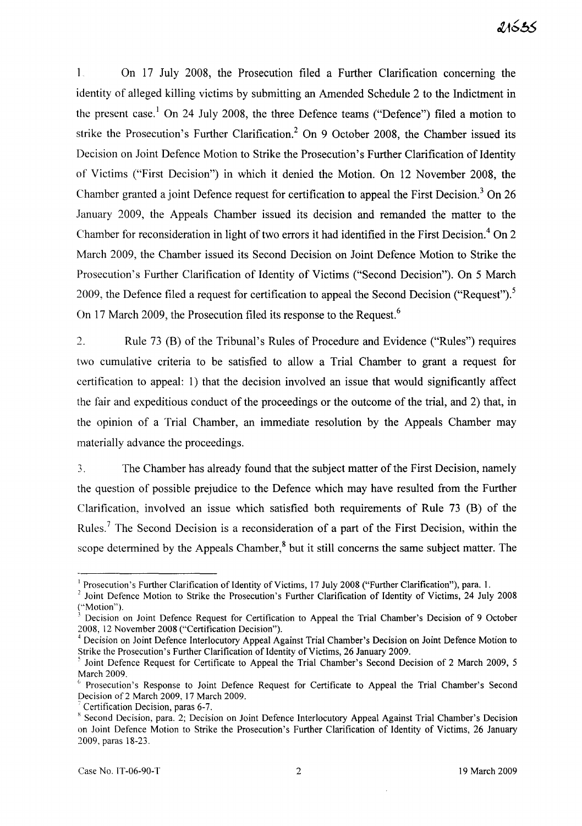$\mathbf{1}$ On 17 July 2008, the Prosecution filed a Further Clarification concerning the identity of alleged killing victims by submitting an Amended Schedule 2 to the Indictment in the present case.<sup>1</sup> On 24 July 2008, the three Defence teams ("Defence") filed a motion to strike the Prosecution's Further Clarification.<sup>2</sup> On 9 October 2008, the Chamber issued its Decision on Joint Defence Motion to Strike the Prosecution's Further Clarification of Identity of Victims ("First Decision") in which it denied the Motion. On 12 November 2008, the Chamber granted a joint Defence request for certification to appeal the First Decision.<sup>3</sup> On 26 January 2009, the Appeals Chamber issued its decision and remanded the matter to the Chamber for reconsideration in light of two errors it had identified in the First Decision.<sup>4</sup> On 2 March 2009, the Chamber issued its Second Decision on Joint Defence Motion to Strike the Prosecution's Further Clarification of Identity of Victims ("Second Decision"). On 5 March 2009, the Defence filed a request for certification to appeal the Second Decision ("Request").<sup>5</sup> On 17 March 2009, the Prosecution filed its response to the Request.<sup>6</sup>

2. Rule 73 (B) of the Tribunal's Rules of Procedure and Evidence ("Rules") requires two cumulative criteria to be satisfied to allow a Trial Chamber to grant a request for certification to appeal: 1) that the decision involved an issue that would significantly affect the fair and expeditious conduct of the proceedings or the outcome of the trial, and 2) that, in the opinion of a Trial Chamber, an immediate resolution by the Appeals Chamber may materially advance the proceedings.

3. The Chamber has already found that the subject matter of the First Decision, namely the question of possible prejudice to the Defence which may have resulted from the Further Clarification, involved an issue which satisfied both requirements of Rule 73 (B) of the Rules.<sup>7</sup> The Second Decision is a reconsideration of a part of the First Decision, within the scope determined by the Appeals Chamber, $<sup>8</sup>$  but it still concerns the same subject matter. The</sup>

<sup>&</sup>lt;sup>1</sup> Prosecution's Further Clarification of Identity of Victims, 17 July 2008 ("Further Clarification"), para. 1.

<sup>&</sup>lt;sup>2</sup> Joint Defence Motion to Strike the Prosecution's Further Clarification of Identity of Victims, 24 July 2008 ("Motion").

Decision on Joint Defence Request for Certification to Appeal the Trial Chamber's Decision of 9 October 2008, 12 November 2008 ("Certification Decision").

<sup>4</sup> Decision on Joint Defence Interlocutory Appeal Against Trial Chamber's Decision on Joint Defence Motion to Strike the Prosecution's Further Clarification of Identity of Victims, 26 January 2009.

Joint Defence Request for Certificate to Appeal the Trial Chamber's Second Decision of 2 March 2009, 5 March 2009.

<sup>&</sup>lt;sup>6</sup> Prosecution's Response to Joint Defence Request for Certificate to Appeal the Trial Chamber's Second Decision of 2 March 2009, 17 March 2009.

<sup>7</sup> Certification Decision, paras 6-7.

<sup>&</sup>lt;sup>8</sup> Second Decision, para. 2; Decision on Joint Defence Interlocutory Appeal Against Trial Chamber's Decision on Joint Defence Motion to Strike the Prosecution's Further Clarification of Identity of Victims, 26 January 2009. paras 18-23.